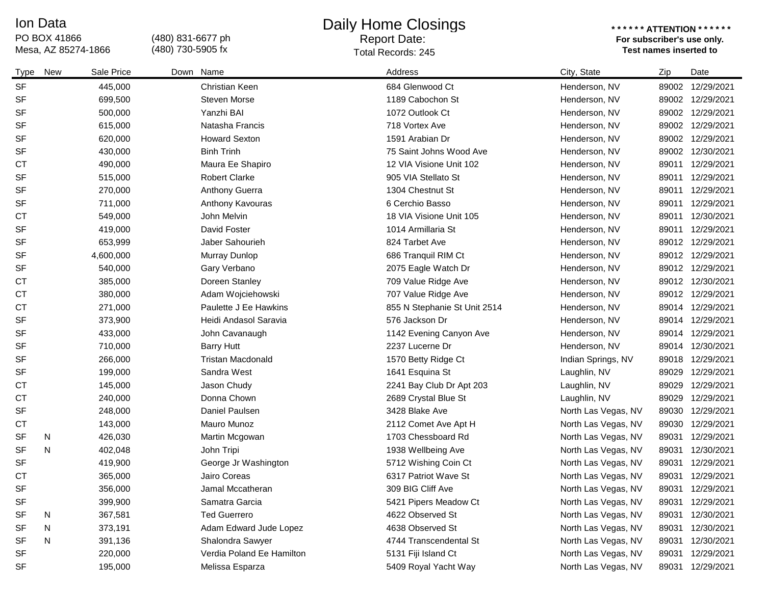### Ion Data

# PO BOX 41866<br>Mesa, AZ 85274-1866

(480) 831-6677 ph (480) 730-5905 fx

### Daily Home Closings

## Report Date:

#### **\* \* \* \* \* \* ATTENTION \* \* \* \* \* \* For subscriber's use only.**  Mesa, AZ 85274-1866 **Test names inserted to**  Total Records: 245

| Type      | New | Sale Price | Down Name                 | Address                      | City, State         | Zip   | Date             |
|-----------|-----|------------|---------------------------|------------------------------|---------------------|-------|------------------|
| <b>SF</b> |     | 445,000    | Christian Keen            | 684 Glenwood Ct              | Henderson, NV       | 89002 | 12/29/2021       |
| <b>SF</b> |     | 699,500    | <b>Steven Morse</b>       | 1189 Cabochon St             | Henderson, NV       |       | 89002 12/29/2021 |
| <b>SF</b> |     | 500,000    | Yanzhi BAI                | 1072 Outlook Ct              | Henderson, NV       |       | 89002 12/29/2021 |
| <b>SF</b> |     | 615,000    | Natasha Francis           | 718 Vortex Ave               | Henderson, NV       |       | 89002 12/29/2021 |
| <b>SF</b> |     | 620,000    | <b>Howard Sexton</b>      | 1591 Arabian Dr              | Henderson, NV       |       | 89002 12/29/2021 |
| <b>SF</b> |     | 430,000    | <b>Binh Trinh</b>         | 75 Saint Johns Wood Ave      | Henderson, NV       |       | 89002 12/30/2021 |
| <b>CT</b> |     | 490,000    | Maura Ee Shapiro          | 12 VIA Visione Unit 102      | Henderson, NV       | 89011 | 12/29/2021       |
| <b>SF</b> |     | 515,000    | <b>Robert Clarke</b>      | 905 VIA Stellato St          | Henderson, NV       |       | 89011 12/29/2021 |
| <b>SF</b> |     | 270,000    | <b>Anthony Guerra</b>     | 1304 Chestnut St             | Henderson, NV       | 89011 | 12/29/2021       |
| <b>SF</b> |     | 711,000    | Anthony Kavouras          | 6 Cerchio Basso              | Henderson, NV       | 89011 | 12/29/2021       |
| <b>CT</b> |     | 549,000    | John Melvin               | 18 VIA Visione Unit 105      | Henderson, NV       | 89011 | 12/30/2021       |
| <b>SF</b> |     | 419,000    | David Foster              | 1014 Armillaria St           | Henderson, NV       | 89011 | 12/29/2021       |
| <b>SF</b> |     | 653,999    | Jaber Sahourieh           | 824 Tarbet Ave               | Henderson, NV       |       | 89012 12/29/2021 |
| <b>SF</b> |     | 4,600,000  | Murray Dunlop             | 686 Tranquil RIM Ct          | Henderson, NV       |       | 89012 12/29/2021 |
| <b>SF</b> |     | 540,000    | Gary Verbano              | 2075 Eagle Watch Dr          | Henderson, NV       |       | 89012 12/29/2021 |
| <b>CT</b> |     | 385,000    | Doreen Stanley            | 709 Value Ridge Ave          | Henderson, NV       |       | 89012 12/30/2021 |
| <b>CT</b> |     | 380,000    | Adam Wojciehowski         | 707 Value Ridge Ave          | Henderson, NV       |       | 89012 12/29/2021 |
| <b>CT</b> |     | 271,000    | Paulette J Ee Hawkins     | 855 N Stephanie St Unit 2514 | Henderson, NV       |       | 89014 12/29/2021 |
| <b>SF</b> |     | 373,900    | Heidi Andasol Saravia     | 576 Jackson Dr               | Henderson, NV       |       | 89014 12/29/2021 |
| <b>SF</b> |     | 433,000    | John Cavanaugh            | 1142 Evening Canyon Ave      | Henderson, NV       |       | 89014 12/29/2021 |
| <b>SF</b> |     | 710,000    | <b>Barry Hutt</b>         | 2237 Lucerne Dr              | Henderson, NV       |       | 89014 12/30/2021 |
| <b>SF</b> |     | 266,000    | <b>Tristan Macdonald</b>  | 1570 Betty Ridge Ct          | Indian Springs, NV  |       | 89018 12/29/2021 |
| <b>SF</b> |     | 199,000    | Sandra West               | 1641 Esquina St              | Laughlin, NV        | 89029 | 12/29/2021       |
| <b>CT</b> |     | 145,000    | Jason Chudy               | 2241 Bay Club Dr Apt 203     | Laughlin, NV        | 89029 | 12/29/2021       |
| <b>CT</b> |     | 240,000    | Donna Chown               | 2689 Crystal Blue St         | Laughlin, NV        | 89029 | 12/29/2021       |
| <b>SF</b> |     | 248,000    | Daniel Paulsen            | 3428 Blake Ave               | North Las Vegas, NV | 89030 | 12/29/2021       |
| <b>CT</b> |     | 143,000    | Mauro Munoz               | 2112 Comet Ave Apt H         | North Las Vegas, NV | 89030 | 12/29/2021       |
| <b>SF</b> | N   | 426,030    | Martin Mcgowan            | 1703 Chessboard Rd           | North Las Vegas, NV | 89031 | 12/29/2021       |
| <b>SF</b> | N   | 402,048    | John Tripi                | 1938 Wellbeing Ave           | North Las Vegas, NV | 89031 | 12/30/2021       |
| <b>SF</b> |     | 419,900    | George Jr Washington      | 5712 Wishing Coin Ct         | North Las Vegas, NV | 89031 | 12/29/2021       |
| <b>CT</b> |     | 365,000    | Jairo Coreas              | 6317 Patriot Wave St         | North Las Vegas, NV | 89031 | 12/29/2021       |
| <b>SF</b> |     | 356,000    | Jamal Mccatheran          | 309 BIG Cliff Ave            | North Las Vegas, NV |       | 89031 12/29/2021 |
| <b>SF</b> |     | 399,900    | Samatra Garcia            | 5421 Pipers Meadow Ct        | North Las Vegas, NV |       | 89031 12/29/2021 |
| SF        | N   | 367,581    | <b>Ted Guerrero</b>       | 4622 Observed St             | North Las Vegas, NV | 89031 | 12/30/2021       |
| <b>SF</b> | N   | 373,191    | Adam Edward Jude Lopez    | 4638 Observed St             | North Las Vegas, NV | 89031 | 12/30/2021       |
| <b>SF</b> | N   | 391,136    | Shalondra Sawyer          | 4744 Transcendental St       | North Las Vegas, NV | 89031 | 12/30/2021       |
| <b>SF</b> |     | 220,000    | Verdia Poland Ee Hamilton | 5131 Fiji Island Ct          | North Las Vegas, NV | 89031 | 12/29/2021       |
| SF        |     | 195,000    | Melissa Esparza           | 5409 Royal Yacht Way         | North Las Vegas, NV |       | 89031 12/29/2021 |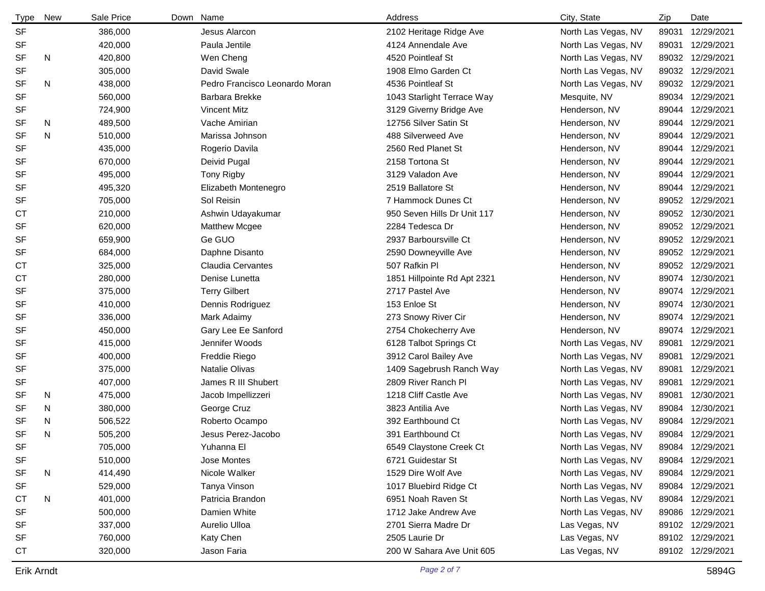| <b>Type</b> | New | Sale Price | Down Name |                                | Address                     | City, State         | Zip   | Date             |
|-------------|-----|------------|-----------|--------------------------------|-----------------------------|---------------------|-------|------------------|
| SF          |     | 386,000    |           | Jesus Alarcon                  | 2102 Heritage Ridge Ave     | North Las Vegas, NV | 89031 | 12/29/2021       |
| <b>SF</b>   |     | 420,000    |           | Paula Jentile                  | 4124 Annendale Ave          | North Las Vegas, NV | 89031 | 12/29/2021       |
| <b>SF</b>   | N   | 420,800    |           | Wen Cheng                      | 4520 Pointleaf St           | North Las Vegas, NV | 89032 | 12/29/2021       |
| <b>SF</b>   |     | 305,000    |           | David Swale                    | 1908 Elmo Garden Ct         | North Las Vegas, NV | 89032 | 12/29/2021       |
| <b>SF</b>   | N   | 438,000    |           | Pedro Francisco Leonardo Moran | 4536 Pointleaf St           | North Las Vegas, NV | 89032 | 12/29/2021       |
| <b>SF</b>   |     | 560,000    |           | Barbara Brekke                 | 1043 Starlight Terrace Way  | Mesquite, NV        | 89034 | 12/29/2021       |
| SF          |     | 724,900    |           | <b>Vincent Mitz</b>            | 3129 Giverny Bridge Ave     | Henderson, NV       | 89044 | 12/29/2021       |
| SF          | N   | 489,500    |           | Vache Amirian                  | 12756 Silver Satin St       | Henderson, NV       | 89044 | 12/29/2021       |
| <b>SF</b>   | N   | 510,000    |           | Marissa Johnson                | 488 Silverweed Ave          | Henderson, NV       | 89044 | 12/29/2021       |
| <b>SF</b>   |     | 435,000    |           | Rogerio Davila                 | 2560 Red Planet St          | Henderson, NV       | 89044 | 12/29/2021       |
| <b>SF</b>   |     | 670,000    |           | Deivid Pugal                   | 2158 Tortona St             | Henderson, NV       | 89044 | 12/29/2021       |
| <b>SF</b>   |     | 495,000    |           | Tony Rigby                     | 3129 Valadon Ave            | Henderson, NV       | 89044 | 12/29/2021       |
| <b>SF</b>   |     | 495,320    |           | Elizabeth Montenegro           | 2519 Ballatore St           | Henderson, NV       | 89044 | 12/29/2021       |
| SF          |     | 705,000    |           | Sol Reisin                     | 7 Hammock Dunes Ct          | Henderson, NV       | 89052 | 12/29/2021       |
| <b>CT</b>   |     | 210,000    |           | Ashwin Udayakumar              | 950 Seven Hills Dr Unit 117 | Henderson, NV       | 89052 | 12/30/2021       |
| <b>SF</b>   |     | 620,000    |           | <b>Matthew Mcgee</b>           | 2284 Tedesca Dr             | Henderson, NV       | 89052 | 12/29/2021       |
| <b>SF</b>   |     | 659,900    |           | Ge GUO                         | 2937 Barboursville Ct       | Henderson, NV       |       | 89052 12/29/2021 |
| SF          |     | 684,000    |           | Daphne Disanto                 | 2590 Downeyville Ave        | Henderson, NV       |       | 89052 12/29/2021 |
| <b>CT</b>   |     | 325,000    |           | <b>Claudia Cervantes</b>       | 507 Rafkin Pl               | Henderson, NV       | 89052 | 12/29/2021       |
| СT          |     | 280,000    |           | Denise Lunetta                 | 1851 Hillpointe Rd Apt 2321 | Henderson, NV       |       | 89074 12/30/2021 |
| <b>SF</b>   |     | 375,000    |           | <b>Terry Gilbert</b>           | 2717 Pastel Ave             | Henderson, NV       | 89074 | 12/29/2021       |
| <b>SF</b>   |     | 410,000    |           | Dennis Rodriguez               | 153 Enloe St                | Henderson, NV       | 89074 | 12/30/2021       |
| <b>SF</b>   |     | 336,000    |           | Mark Adaimy                    | 273 Snowy River Cir         | Henderson, NV       | 89074 | 12/29/2021       |
| <b>SF</b>   |     | 450,000    |           | Gary Lee Ee Sanford            | 2754 Chokecherry Ave        | Henderson, NV       | 89074 | 12/29/2021       |
| <b>SF</b>   |     | 415,000    |           | Jennifer Woods                 | 6128 Talbot Springs Ct      | North Las Vegas, NV | 89081 | 12/29/2021       |
| <b>SF</b>   |     | 400,000    |           | Freddie Riego                  | 3912 Carol Bailey Ave       | North Las Vegas, NV | 89081 | 12/29/2021       |
| <b>SF</b>   |     | 375,000    |           | Natalie Olivas                 | 1409 Sagebrush Ranch Way    | North Las Vegas, NV | 89081 | 12/29/2021       |
| SF          |     | 407,000    |           | James R III Shubert            | 2809 River Ranch Pl         | North Las Vegas, NV | 89081 | 12/29/2021       |
| <b>SF</b>   | N   | 475,000    |           | Jacob Impellizzeri             | 1218 Cliff Castle Ave       | North Las Vegas, NV | 89081 | 12/30/2021       |
| <b>SF</b>   | N   | 380,000    |           | George Cruz                    | 3823 Antilia Ave            | North Las Vegas, NV | 89084 | 12/30/2021       |
| <b>SF</b>   | N   | 506,522    |           | Roberto Ocampo                 | 392 Earthbound Ct           | North Las Vegas, NV |       | 89084 12/29/2021 |
| <b>SF</b>   | N   | 505,200    |           | Jesus Perez-Jacobo             | 391 Earthbound Ct           | North Las Vegas, NV |       | 89084 12/29/2021 |
| SF          |     | 705,000    |           | Yuhanna El                     | 6549 Claystone Creek Ct     | North Las Vegas, NV | 89084 | 12/29/2021       |
| SF          |     | 510,000    |           | Jose Montes                    | 6721 Guidestar St           | North Las Vegas, NV |       | 89084 12/29/2021 |
| <b>SF</b>   | N   | 414,490    |           | Nicole Walker                  | 1529 Dire Wolf Ave          | North Las Vegas, NV |       | 89084 12/29/2021 |
| SF          |     | 529,000    |           | Tanya Vinson                   | 1017 Bluebird Ridge Ct      | North Las Vegas, NV |       | 89084 12/29/2021 |
| СT          | N   | 401,000    |           | Patricia Brandon               | 6951 Noah Raven St          | North Las Vegas, NV |       | 89084 12/29/2021 |
| SF          |     | 500,000    |           | Damien White                   | 1712 Jake Andrew Ave        | North Las Vegas, NV |       | 89086 12/29/2021 |
| SF          |     | 337,000    |           | Aurelio Ulloa                  | 2701 Sierra Madre Dr        | Las Vegas, NV       |       | 89102 12/29/2021 |
| SF          |     | 760,000    |           | Katy Chen                      | 2505 Laurie Dr              | Las Vegas, NV       |       | 89102 12/29/2021 |
| <b>CT</b>   |     | 320,000    |           | Jason Faria                    | 200 W Sahara Ave Unit 605   | Las Vegas, NV       |       | 89102 12/29/2021 |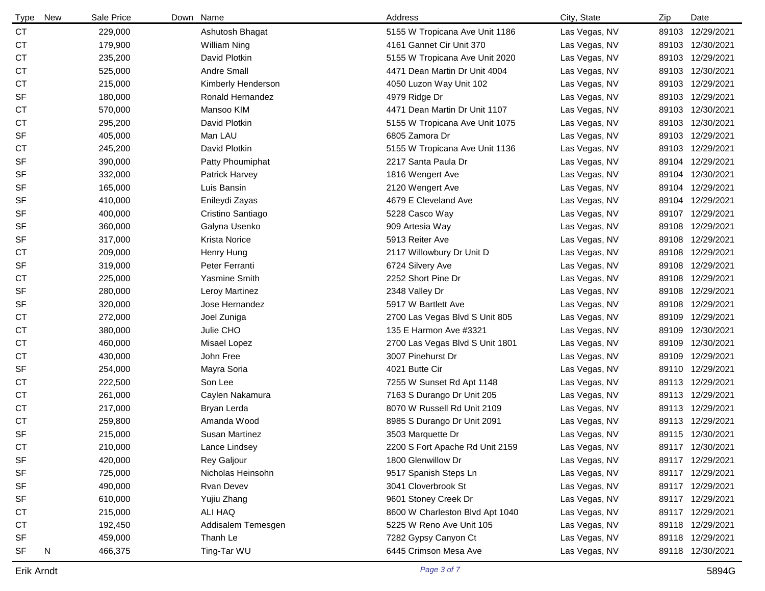| Type      | New | Sale Price | Down Name             | Address                         | City, State   | Zip   | Date             |
|-----------|-----|------------|-----------------------|---------------------------------|---------------|-------|------------------|
| <b>CT</b> |     | 229,000    | Ashutosh Bhagat       | 5155 W Tropicana Ave Unit 1186  | Las Vegas, NV |       | 89103 12/29/2021 |
| <b>CT</b> |     | 179,900    | <b>William Ning</b>   | 4161 Gannet Cir Unit 370        | Las Vegas, NV |       | 89103 12/30/2021 |
| <b>CT</b> |     | 235,200    | David Plotkin         | 5155 W Tropicana Ave Unit 2020  | Las Vegas, NV |       | 89103 12/29/2021 |
| СT        |     | 525,000    | Andre Small           | 4471 Dean Martin Dr Unit 4004   | Las Vegas, NV |       | 89103 12/30/2021 |
| <b>CT</b> |     | 215,000    | Kimberly Henderson    | 4050 Luzon Way Unit 102         | Las Vegas, NV |       | 89103 12/29/2021 |
| <b>SF</b> |     | 180,000    | Ronald Hernandez      | 4979 Ridge Dr                   | Las Vegas, NV |       | 89103 12/29/2021 |
| <b>CT</b> |     | 570,000    | Mansoo KIM            | 4471 Dean Martin Dr Unit 1107   | Las Vegas, NV |       | 89103 12/30/2021 |
| <b>CT</b> |     | 295,200    | David Plotkin         | 5155 W Tropicana Ave Unit 1075  | Las Vegas, NV |       | 89103 12/30/2021 |
| <b>SF</b> |     | 405,000    | Man LAU               | 6805 Zamora Dr                  | Las Vegas, NV |       | 89103 12/29/2021 |
| СT        |     | 245,200    | David Plotkin         | 5155 W Tropicana Ave Unit 1136  | Las Vegas, NV |       | 89103 12/29/2021 |
| <b>SF</b> |     | 390,000    | Patty Phoumiphat      | 2217 Santa Paula Dr             | Las Vegas, NV |       | 89104 12/29/2021 |
| <b>SF</b> |     | 332,000    | Patrick Harvey        | 1816 Wengert Ave                | Las Vegas, NV |       | 89104 12/30/2021 |
| <b>SF</b> |     | 165,000    | Luis Bansin           | 2120 Wengert Ave                | Las Vegas, NV | 89104 | 12/29/2021       |
| <b>SF</b> |     | 410,000    | Enileydi Zayas        | 4679 E Cleveland Ave            | Las Vegas, NV | 89104 | 12/29/2021       |
| <b>SF</b> |     | 400,000    | Cristino Santiago     | 5228 Casco Way                  | Las Vegas, NV | 89107 | 12/29/2021       |
| <b>SF</b> |     | 360,000    | Galyna Usenko         | 909 Artesia Way                 | Las Vegas, NV | 89108 | 12/29/2021       |
| <b>SF</b> |     | 317,000    | <b>Krista Norice</b>  | 5913 Reiter Ave                 | Las Vegas, NV | 89108 | 12/29/2021       |
| СT        |     | 209,000    | Henry Hung            | 2117 Willowbury Dr Unit D       | Las Vegas, NV | 89108 | 12/29/2021       |
| <b>SF</b> |     | 319,000    | Peter Ferranti        | 6724 Silvery Ave                | Las Vegas, NV | 89108 | 12/29/2021       |
| <b>CT</b> |     | 225,000    | Yasmine Smith         | 2252 Short Pine Dr              | Las Vegas, NV | 89108 | 12/29/2021       |
| <b>SF</b> |     | 280,000    | Leroy Martinez        | 2348 Valley Dr                  | Las Vegas, NV | 89108 | 12/29/2021       |
| SF        |     | 320,000    | Jose Hernandez        | 5917 W Bartlett Ave             | Las Vegas, NV | 89108 | 12/29/2021       |
| <b>CT</b> |     | 272,000    | Joel Zuniga           | 2700 Las Vegas Blvd S Unit 805  | Las Vegas, NV | 89109 | 12/29/2021       |
| <b>CT</b> |     | 380,000    | Julie CHO             | 135 E Harmon Ave #3321          | Las Vegas, NV | 89109 | 12/30/2021       |
| <b>CT</b> |     | 460,000    | Misael Lopez          | 2700 Las Vegas Blvd S Unit 1801 | Las Vegas, NV | 89109 | 12/30/2021       |
| <b>CT</b> |     | 430,000    | John Free             | 3007 Pinehurst Dr               | Las Vegas, NV | 89109 | 12/29/2021       |
| <b>SF</b> |     | 254,000    | Mayra Soria           | 4021 Butte Cir                  | Las Vegas, NV |       | 89110 12/29/2021 |
| <b>CT</b> |     | 222,500    | Son Lee               | 7255 W Sunset Rd Apt 1148       | Las Vegas, NV |       | 89113 12/29/2021 |
| <b>CT</b> |     | 261,000    | Caylen Nakamura       | 7163 S Durango Dr Unit 205      | Las Vegas, NV |       | 89113 12/29/2021 |
| <b>CT</b> |     | 217,000    | Bryan Lerda           | 8070 W Russell Rd Unit 2109     | Las Vegas, NV |       | 89113 12/29/2021 |
| <b>CT</b> |     | 259,800    | Amanda Wood           | 8985 S Durango Dr Unit 2091     | Las Vegas, NV |       | 89113 12/29/2021 |
| <b>SF</b> |     | 215,000    | <b>Susan Martinez</b> | 3503 Marquette Dr               | Las Vegas, NV |       | 89115 12/30/2021 |
| CT        |     | 210,000    | Lance Lindsey         | 2200 S Fort Apache Rd Unit 2159 | Las Vegas, NV |       | 89117 12/30/2021 |
| <b>SF</b> |     | 420,000    | Rey Galjour           | 1800 Glenwillow Dr              | Las Vegas, NV |       | 89117 12/29/2021 |
| <b>SF</b> |     | 725,000    | Nicholas Heinsohn     | 9517 Spanish Steps Ln           | Las Vegas, NV |       | 89117 12/29/2021 |
| <b>SF</b> |     | 490,000    | <b>Rvan Devev</b>     | 3041 Cloverbrook St             | Las Vegas, NV |       | 89117 12/29/2021 |
| <b>SF</b> |     | 610,000    | Yujiu Zhang           | 9601 Stoney Creek Dr            | Las Vegas, NV |       | 89117 12/29/2021 |
| <b>CT</b> |     | 215,000    | ALI HAQ               | 8600 W Charleston Blvd Apt 1040 | Las Vegas, NV |       | 89117 12/29/2021 |
| <b>CT</b> |     | 192,450    | Addisalem Temesgen    | 5225 W Reno Ave Unit 105        | Las Vegas, NV |       | 89118 12/29/2021 |
| <b>SF</b> |     | 459,000    | Thanh Le              | 7282 Gypsy Canyon Ct            | Las Vegas, NV |       | 89118 12/29/2021 |
| <b>SF</b> | N   | 466,375    | Ting-Tar WU           | 6445 Crimson Mesa Ave           | Las Vegas, NV |       | 89118 12/30/2021 |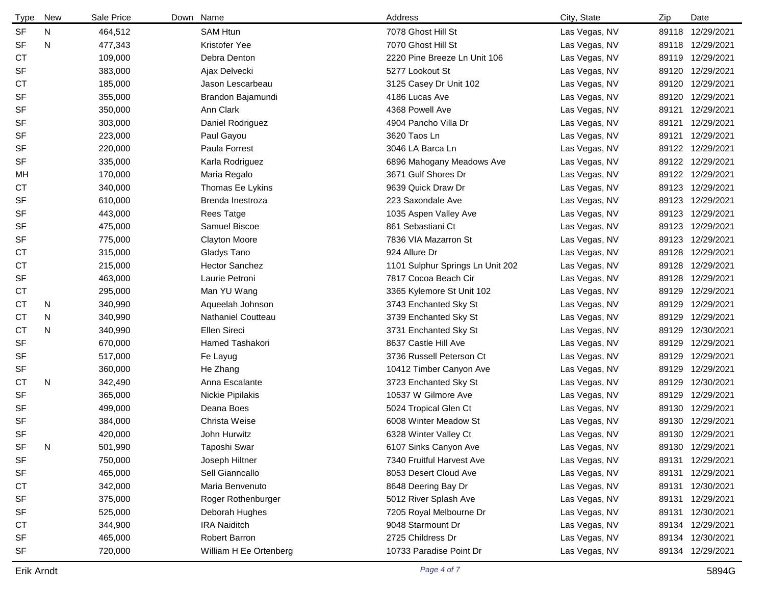| Type      | New | Sale Price | Down Name              | Address                          | City, State   | Zip   | Date             |
|-----------|-----|------------|------------------------|----------------------------------|---------------|-------|------------------|
| <b>SF</b> | N   | 464,512    | <b>SAM Htun</b>        | 7078 Ghost Hill St               | Las Vegas, NV |       | 89118 12/29/2021 |
| <b>SF</b> | N   | 477,343    | Kristofer Yee          | 7070 Ghost Hill St               | Las Vegas, NV |       | 89118 12/29/2021 |
| <b>CT</b> |     | 109,000    | Debra Denton           | 2220 Pine Breeze Ln Unit 106     | Las Vegas, NV |       | 89119 12/29/2021 |
| <b>SF</b> |     | 383,000    | Ajax Delvecki          | 5277 Lookout St                  | Las Vegas, NV |       | 89120 12/29/2021 |
| <b>CT</b> |     | 185,000    | Jason Lescarbeau       | 3125 Casey Dr Unit 102           | Las Vegas, NV |       | 89120 12/29/2021 |
| <b>SF</b> |     | 355,000    | Brandon Bajamundi      | 4186 Lucas Ave                   | Las Vegas, NV | 89120 | 12/29/2021       |
| <b>SF</b> |     | 350,000    | Ann Clark              | 4368 Powell Ave                  | Las Vegas, NV | 89121 | 12/29/2021       |
| <b>SF</b> |     | 303,000    | Daniel Rodriguez       | 4904 Pancho Villa Dr             | Las Vegas, NV | 89121 | 12/29/2021       |
| <b>SF</b> |     | 223,000    | Paul Gayou             | 3620 Taos Ln                     | Las Vegas, NV | 89121 | 12/29/2021       |
| <b>SF</b> |     | 220,000    | Paula Forrest          | 3046 LA Barca Ln                 | Las Vegas, NV |       | 89122 12/29/2021 |
| <b>SF</b> |     | 335,000    | Karla Rodriguez        | 6896 Mahogany Meadows Ave        | Las Vegas, NV |       | 89122 12/29/2021 |
| MH        |     | 170,000    | Maria Regalo           | 3671 Gulf Shores Dr              | Las Vegas, NV |       | 89122 12/29/2021 |
| <b>CT</b> |     | 340,000    | Thomas Ee Lykins       | 9639 Quick Draw Dr               | Las Vegas, NV |       | 89123 12/29/2021 |
| <b>SF</b> |     | 610,000    | Brenda Inestroza       | 223 Saxondale Ave                | Las Vegas, NV |       | 89123 12/29/2021 |
| <b>SF</b> |     | 443,000    | <b>Rees Tatge</b>      | 1035 Aspen Valley Ave            | Las Vegas, NV | 89123 | 12/29/2021       |
| <b>SF</b> |     | 475,000    | Samuel Biscoe          | 861 Sebastiani Ct                | Las Vegas, NV |       | 89123 12/29/2021 |
| <b>SF</b> |     | 775,000    | <b>Clayton Moore</b>   | 7836 VIA Mazarron St             | Las Vegas, NV |       | 89123 12/29/2021 |
| СT        |     | 315,000    | Gladys Tano            | 924 Allure Dr                    | Las Vegas, NV | 89128 | 12/29/2021       |
| <b>CT</b> |     | 215,000    | <b>Hector Sanchez</b>  | 1101 Sulphur Springs Ln Unit 202 | Las Vegas, NV |       | 89128 12/29/2021 |
| <b>SF</b> |     | 463,000    | Laurie Petroni         | 7817 Cocoa Beach Cir             | Las Vegas, NV | 89128 | 12/29/2021       |
| <b>CT</b> |     | 295,000    | Man YU Wang            | 3365 Kylemore St Unit 102        | Las Vegas, NV | 89129 | 12/29/2021       |
| <b>CT</b> | N   | 340,990    | Aqueelah Johnson       | 3743 Enchanted Sky St            | Las Vegas, NV | 89129 | 12/29/2021       |
| <b>CT</b> | N   | 340,990    | Nathaniel Coutteau     | 3739 Enchanted Sky St            | Las Vegas, NV | 89129 | 12/29/2021       |
| <b>CT</b> | N   | 340,990    | Ellen Sireci           | 3731 Enchanted Sky St            | Las Vegas, NV | 89129 | 12/30/2021       |
| <b>SF</b> |     | 670,000    | Hamed Tashakori        | 8637 Castle Hill Ave             | Las Vegas, NV | 89129 | 12/29/2021       |
| SF        |     | 517,000    | Fe Layug               | 3736 Russell Peterson Ct         | Las Vegas, NV | 89129 | 12/29/2021       |
| <b>SF</b> |     | 360,000    | He Zhang               | 10412 Timber Canyon Ave          | Las Vegas, NV | 89129 | 12/29/2021       |
| <b>CT</b> | N   | 342,490    | Anna Escalante         | 3723 Enchanted Sky St            | Las Vegas, NV | 89129 | 12/30/2021       |
| <b>SF</b> |     | 365,000    | Nickie Pipilakis       | 10537 W Gilmore Ave              | Las Vegas, NV | 89129 | 12/29/2021       |
| SF        |     | 499,000    | Deana Boes             | 5024 Tropical Glen Ct            | Las Vegas, NV |       | 89130 12/29/2021 |
| <b>SF</b> |     | 384,000    | Christa Weise          | 6008 Winter Meadow St            | Las Vegas, NV |       | 89130 12/29/2021 |
| <b>SF</b> |     | 420,000    | John Hurwitz           | 6328 Winter Valley Ct            | Las Vegas, NV |       | 89130 12/29/2021 |
| SF        | N   | 501,990    | Taposhi Swar           | 6107 Sinks Canyon Ave            | Las Vegas, NV |       | 89130 12/29/2021 |
| <b>SF</b> |     | 750,000    | Joseph Hiltner         | 7340 Fruitful Harvest Ave        | Las Vegas, NV | 89131 | 12/29/2021       |
| <b>SF</b> |     | 465,000    | Sell Gianncallo        | 8053 Desert Cloud Ave            | Las Vegas, NV | 89131 | 12/29/2021       |
| <b>CT</b> |     | 342,000    | Maria Benvenuto        | 8648 Deering Bay Dr              | Las Vegas, NV |       | 89131 12/30/2021 |
| <b>SF</b> |     | 375,000    | Roger Rothenburger     | 5012 River Splash Ave            | Las Vegas, NV | 89131 | 12/29/2021       |
| SF        |     | 525,000    | Deborah Hughes         | 7205 Royal Melbourne Dr          | Las Vegas, NV | 89131 | 12/30/2021       |
| <b>CT</b> |     | 344,900    | <b>IRA Naiditch</b>    | 9048 Starmount Dr                | Las Vegas, NV |       | 89134 12/29/2021 |
| <b>SF</b> |     | 465,000    | Robert Barron          | 2725 Childress Dr                | Las Vegas, NV |       | 89134 12/30/2021 |
| <b>SF</b> |     | 720,000    | William H Ee Ortenberg | 10733 Paradise Point Dr          | Las Vegas, NV |       | 89134 12/29/2021 |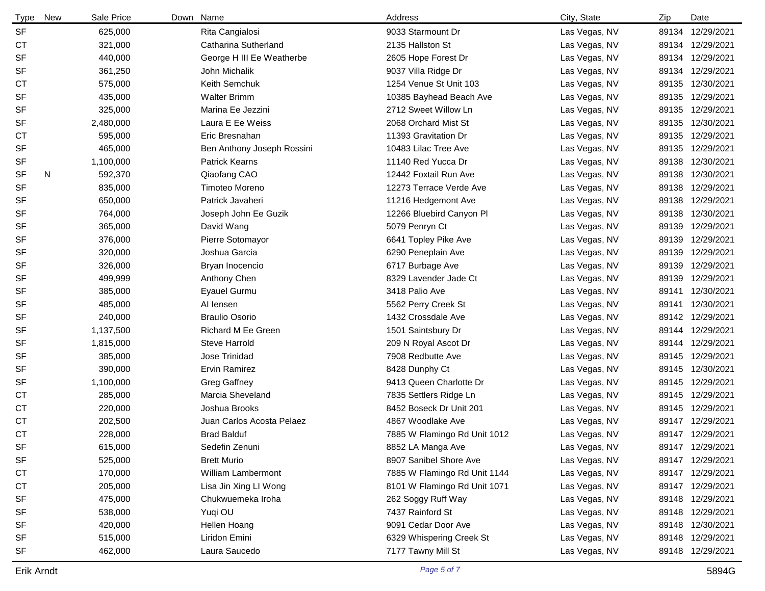| <b>Type</b> | <b>New</b> | Sale Price | Down Name                  | Address                      | City, State   | Zip   | Date             |
|-------------|------------|------------|----------------------------|------------------------------|---------------|-------|------------------|
| <b>SF</b>   |            | 625,000    | Rita Cangialosi            | 9033 Starmount Dr            | Las Vegas, NV |       | 89134 12/29/2021 |
| <b>CT</b>   |            | 321,000    | Catharina Sutherland       | 2135 Hallston St             | Las Vegas, NV |       | 89134 12/29/2021 |
| <b>SF</b>   |            | 440,000    | George H III Ee Weatherbe  | 2605 Hope Forest Dr          | Las Vegas, NV |       | 89134 12/29/2021 |
| <b>SF</b>   |            | 361,250    | John Michalik              | 9037 Villa Ridge Dr          | Las Vegas, NV |       | 89134 12/29/2021 |
| <b>CT</b>   |            | 575,000    | Keith Semchuk              | 1254 Venue St Unit 103       | Las Vegas, NV |       | 89135 12/30/2021 |
| <b>SF</b>   |            | 435,000    | <b>Walter Brimm</b>        | 10385 Bayhead Beach Ave      | Las Vegas, NV | 89135 | 12/29/2021       |
| <b>SF</b>   |            | 325,000    | Marina Ee Jezzini          | 2712 Sweet Willow Ln         | Las Vegas, NV | 89135 | 12/29/2021       |
| <b>SF</b>   |            | 2,480,000  | Laura E Ee Weiss           | 2068 Orchard Mist St         | Las Vegas, NV |       | 89135 12/30/2021 |
| <b>CT</b>   |            | 595,000    | Eric Bresnahan             | 11393 Gravitation Dr         | Las Vegas, NV |       | 89135 12/29/2021 |
| <b>SF</b>   |            | 465,000    | Ben Anthony Joseph Rossini | 10483 Lilac Tree Ave         | Las Vegas, NV | 89135 | 12/29/2021       |
| <b>SF</b>   |            | 1,100,000  | <b>Patrick Kearns</b>      | 11140 Red Yucca Dr           | Las Vegas, NV | 89138 | 12/30/2021       |
| <b>SF</b>   | N          | 592,370    | Qiaofang CAO               | 12442 Foxtail Run Ave        | Las Vegas, NV |       | 89138 12/30/2021 |
| <b>SF</b>   |            | 835,000    | Timoteo Moreno             | 12273 Terrace Verde Ave      | Las Vegas, NV | 89138 | 12/29/2021       |
| <b>SF</b>   |            | 650,000    | Patrick Javaheri           | 11216 Hedgemont Ave          | Las Vegas, NV | 89138 | 12/29/2021       |
| <b>SF</b>   |            | 764,000    | Joseph John Ee Guzik       | 12266 Bluebird Canyon Pl     | Las Vegas, NV | 89138 | 12/30/2021       |
| <b>SF</b>   |            | 365,000    | David Wang                 | 5079 Penryn Ct               | Las Vegas, NV | 89139 | 12/29/2021       |
| <b>SF</b>   |            | 376,000    | Pierre Sotomayor           | 6641 Topley Pike Ave         | Las Vegas, NV |       | 89139 12/29/2021 |
| <b>SF</b>   |            | 320,000    | Joshua Garcia              | 6290 Peneplain Ave           | Las Vegas, NV | 89139 | 12/29/2021       |
| <b>SF</b>   |            | 326,000    | Bryan Inocencio            | 6717 Burbage Ave             | Las Vegas, NV |       | 89139 12/29/2021 |
| SF          |            | 499,999    | Anthony Chen               | 8329 Lavender Jade Ct        | Las Vegas, NV |       | 89139 12/29/2021 |
| <b>SF</b>   |            | 385,000    | Eyauel Gurmu               | 3418 Palio Ave               | Las Vegas, NV | 89141 | 12/30/2021       |
| <b>SF</b>   |            | 485,000    | AI lensen                  | 5562 Perry Creek St          | Las Vegas, NV | 89141 | 12/30/2021       |
| <b>SF</b>   |            | 240,000    | <b>Braulio Osorio</b>      | 1432 Crossdale Ave           | Las Vegas, NV |       | 89142 12/29/2021 |
| <b>SF</b>   |            | 1,137,500  | Richard M Ee Green         | 1501 Saintsbury Dr           | Las Vegas, NV |       | 89144 12/29/2021 |
| <b>SF</b>   |            | 1,815,000  | <b>Steve Harrold</b>       | 209 N Royal Ascot Dr         | Las Vegas, NV |       | 89144 12/29/2021 |
| SF          |            | 385,000    | Jose Trinidad              | 7908 Redbutte Ave            | Las Vegas, NV |       | 89145 12/29/2021 |
| <b>SF</b>   |            | 390,000    | <b>Ervin Ramirez</b>       | 8428 Dunphy Ct               | Las Vegas, NV |       | 89145 12/30/2021 |
| <b>SF</b>   |            | 1,100,000  | <b>Greg Gaffney</b>        | 9413 Queen Charlotte Dr      | Las Vegas, NV |       | 89145 12/29/2021 |
| <b>CT</b>   |            | 285,000    | Marcia Sheveland           | 7835 Settlers Ridge Ln       | Las Vegas, NV |       | 89145 12/29/2021 |
| <b>CT</b>   |            | 220,000    | Joshua Brooks              | 8452 Boseck Dr Unit 201      | Las Vegas, NV |       | 89145 12/29/2021 |
| <b>CT</b>   |            | 202,500    | Juan Carlos Acosta Pelaez  | 4867 Woodlake Ave            | Las Vegas, NV |       | 89147 12/29/2021 |
| <b>CT</b>   |            | 228,000    | <b>Brad Balduf</b>         | 7885 W Flamingo Rd Unit 1012 | Las Vegas, NV |       | 89147 12/29/2021 |
| SF          |            | 615,000    | Sedefin Zenuni             | 8852 LA Manga Ave            | Las Vegas, NV |       | 89147 12/29/2021 |
| <b>SF</b>   |            | 525,000    | <b>Brett Murio</b>         | 8907 Sanibel Shore Ave       | Las Vegas, NV |       | 89147 12/29/2021 |
| СT          |            | 170,000    | William Lambermont         | 7885 W Flamingo Rd Unit 1144 | Las Vegas, NV |       | 89147 12/29/2021 |
| <b>CT</b>   |            | 205,000    | Lisa Jin Xing LI Wong      | 8101 W Flamingo Rd Unit 1071 | Las Vegas, NV |       | 89147 12/29/2021 |
| <b>SF</b>   |            | 475,000    | Chukwuemeka Iroha          | 262 Soggy Ruff Way           | Las Vegas, NV |       | 89148 12/29/2021 |
| SF          |            | 538,000    | Yuqi OU                    | 7437 Rainford St             | Las Vegas, NV |       | 89148 12/29/2021 |
| <b>SF</b>   |            | 420,000    | Hellen Hoang               | 9091 Cedar Door Ave          | Las Vegas, NV |       | 89148 12/30/2021 |
| <b>SF</b>   |            | 515,000    | Liridon Emini              | 6329 Whispering Creek St     | Las Vegas, NV |       | 89148 12/29/2021 |
| <b>SF</b>   |            | 462,000    | Laura Saucedo              | 7177 Tawny Mill St           | Las Vegas, NV |       | 89148 12/29/2021 |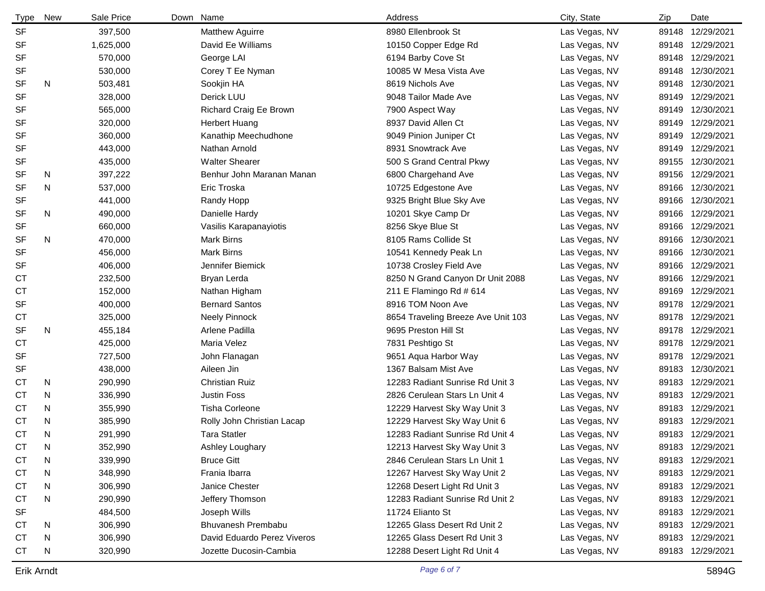| Type      | <b>New</b> | Sale Price | Down Name                   | Address                            | City, State   | Zip   | Date             |
|-----------|------------|------------|-----------------------------|------------------------------------|---------------|-------|------------------|
| <b>SF</b> |            | 397,500    | <b>Matthew Aguirre</b>      | 8980 Ellenbrook St                 | Las Vegas, NV |       | 89148 12/29/2021 |
| <b>SF</b> |            | 1,625,000  | David Ee Williams           | 10150 Copper Edge Rd               | Las Vegas, NV |       | 89148 12/29/2021 |
| <b>SF</b> |            | 570,000    | George LAI                  | 6194 Barby Cove St                 | Las Vegas, NV |       | 89148 12/29/2021 |
| <b>SF</b> |            | 530,000    | Corey T Ee Nyman            | 10085 W Mesa Vista Ave             | Las Vegas, NV |       | 89148 12/30/2021 |
| <b>SF</b> | N          | 503,481    | Sookjin HA                  | 8619 Nichols Ave                   | Las Vegas, NV | 89148 | 12/30/2021       |
| <b>SF</b> |            | 328,000    | Derick LUU                  | 9048 Tailor Made Ave               | Las Vegas, NV |       | 89149 12/29/2021 |
| <b>SF</b> |            | 565,000    | Richard Craig Ee Brown      | 7900 Aspect Way                    | Las Vegas, NV |       | 89149 12/30/2021 |
| <b>SF</b> |            | 320,000    | <b>Herbert Huang</b>        | 8937 David Allen Ct                | Las Vegas, NV |       | 89149 12/29/2021 |
| <b>SF</b> |            | 360,000    | Kanathip Meechudhone        | 9049 Pinion Juniper Ct             | Las Vegas, NV |       | 89149 12/29/2021 |
| <b>SF</b> |            | 443,000    | Nathan Arnold               | 8931 Snowtrack Ave                 | Las Vegas, NV |       | 89149 12/29/2021 |
| <b>SF</b> |            | 435,000    | <b>Walter Shearer</b>       | 500 S Grand Central Pkwy           | Las Vegas, NV |       | 89155 12/30/2021 |
| <b>SF</b> | N          | 397,222    | Benhur John Maranan Manan   | 6800 Chargehand Ave                | Las Vegas, NV |       | 89156 12/29/2021 |
| <b>SF</b> | N          | 537,000    | Eric Troska                 | 10725 Edgestone Ave                | Las Vegas, NV |       | 89166 12/30/2021 |
| SF        |            | 441,000    | Randy Hopp                  | 9325 Bright Blue Sky Ave           | Las Vegas, NV |       | 89166 12/30/2021 |
| <b>SF</b> | N          | 490,000    | Danielle Hardy              | 10201 Skye Camp Dr                 | Las Vegas, NV |       | 89166 12/29/2021 |
| <b>SF</b> |            | 660,000    | Vasilis Karapanayiotis      | 8256 Skye Blue St                  | Las Vegas, NV |       | 89166 12/29/2021 |
| <b>SF</b> | N.         | 470,000    | Mark Birns                  | 8105 Rams Collide St               | Las Vegas, NV |       | 89166 12/30/2021 |
| <b>SF</b> |            | 456,000    | Mark Birns                  | 10541 Kennedy Peak Ln              | Las Vegas, NV |       | 89166 12/30/2021 |
| SF        |            | 406,000    | Jennifer Biemick            | 10738 Crosley Field Ave            | Las Vegas, NV |       | 89166 12/29/2021 |
| СT        |            | 232,500    | Bryan Lerda                 | 8250 N Grand Canyon Dr Unit 2088   | Las Vegas, NV |       | 89166 12/29/2021 |
| <b>CT</b> |            | 152,000    | Nathan Higham               | 211 E Flamingo Rd # 614            | Las Vegas, NV |       | 89169 12/29/2021 |
| <b>SF</b> |            | 400,000    | <b>Bernard Santos</b>       | 8916 TOM Noon Ave                  | Las Vegas, NV |       | 89178 12/29/2021 |
| <b>CT</b> |            | 325,000    | <b>Neely Pinnock</b>        | 8654 Traveling Breeze Ave Unit 103 | Las Vegas, NV |       | 89178 12/29/2021 |
| <b>SF</b> | N          | 455,184    | Arlene Padilla              | 9695 Preston Hill St               | Las Vegas, NV |       | 89178 12/29/2021 |
| <b>CT</b> |            | 425,000    | Maria Velez                 | 7831 Peshtigo St                   | Las Vegas, NV |       | 89178 12/29/2021 |
| <b>SF</b> |            | 727,500    | John Flanagan               | 9651 Aqua Harbor Way               | Las Vegas, NV |       | 89178 12/29/2021 |
| <b>SF</b> |            | 438,000    | Aileen Jin                  | 1367 Balsam Mist Ave               | Las Vegas, NV |       | 89183 12/30/2021 |
| <b>CT</b> | N          | 290,990    | <b>Christian Ruiz</b>       | 12283 Radiant Sunrise Rd Unit 3    | Las Vegas, NV |       | 89183 12/29/2021 |
| <b>CT</b> | N          | 336,990    | <b>Justin Foss</b>          | 2826 Cerulean Stars Ln Unit 4      | Las Vegas, NV |       | 89183 12/29/2021 |
| <b>CT</b> | N          | 355,990    | Tisha Corleone              | 12229 Harvest Sky Way Unit 3       | Las Vegas, NV |       | 89183 12/29/2021 |
| <b>CT</b> | N          | 385,990    | Rolly John Christian Lacap  | 12229 Harvest Sky Way Unit 6       | Las Vegas, NV |       | 89183 12/29/2021 |
| <b>CT</b> | N          | 291,990    | <b>Tara Statler</b>         | 12283 Radiant Sunrise Rd Unit 4    | Las Vegas, NV |       | 89183 12/29/2021 |
| CT        | N          | 352,990    | Ashley Loughary             | 12213 Harvest Sky Way Unit 3       | Las Vegas, NV |       | 89183 12/29/2021 |
| <b>CT</b> | N          | 339,990    | <b>Bruce Gitt</b>           | 2846 Cerulean Stars Ln Unit 1      | Las Vegas, NV |       | 89183 12/29/2021 |
| <b>CT</b> | N          | 348,990    | Frania Ibarra               | 12267 Harvest Sky Way Unit 2       | Las Vegas, NV |       | 89183 12/29/2021 |
| <b>CT</b> | N          | 306,990    | Janice Chester              | 12268 Desert Light Rd Unit 3       | Las Vegas, NV |       | 89183 12/29/2021 |
| СT        | N          | 290,990    | Jeffery Thomson             | 12283 Radiant Sunrise Rd Unit 2    | Las Vegas, NV |       | 89183 12/29/2021 |
| <b>SF</b> |            | 484,500    | Joseph Wills                | 11724 Elianto St                   | Las Vegas, NV |       | 89183 12/29/2021 |
| СT        | N          | 306,990    | <b>Bhuvanesh Prembabu</b>   | 12265 Glass Desert Rd Unit 2       | Las Vegas, NV |       | 89183 12/29/2021 |
| <b>CT</b> | N          | 306,990    | David Eduardo Perez Viveros | 12265 Glass Desert Rd Unit 3       | Las Vegas, NV |       | 89183 12/29/2021 |
| <b>CT</b> | N          | 320,990    | Jozette Ducosin-Cambia      | 12288 Desert Light Rd Unit 4       | Las Vegas, NV |       | 89183 12/29/2021 |